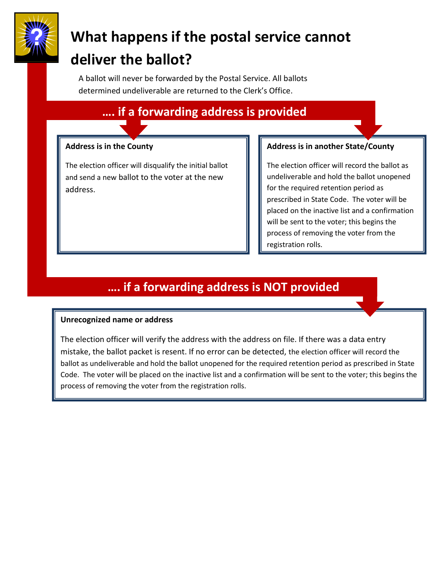

# **What happens if the postal service cannot deliver the ballot?**

A ballot will never be forwarded by the Postal Service. All ballots determined undeliverable are returned to the Clerk's Office.

## **…. if a forwarding address is provided**

#### **Address is in the County**

The election officer will disqualify the initial ballot and send a new ballot to the voter at the new address.

#### **Address is in another State/County**

The election officer will record the ballot as undeliverable and hold the ballot unopened for the required retention period as prescribed in State Code. The voter will be placed on the inactive list and a confirmation will be sent to the voter; this begins the process of removing the voter from the registration rolls.

## **…. if a forwarding address is NOT provided**

#### **Unrecognized name or address**

The election officer will verify the address with the address on file. If there was a data entry mistake, the ballot packet is resent. If no error can be detected, the election officer will record the ballot as undeliverable and hold the ballot unopened for the required retention period as prescribed in State Code. The voter will be placed on the inactive list and a confirmation will be sent to the voter; this begins the process of removing the voter from the registration rolls.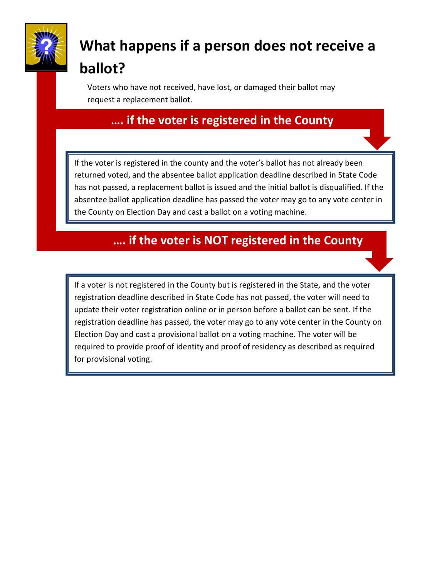

## **What happens if a person does not receive a ballot?**

Voters who have not received, have lost, or damaged their ballot may request a replacement ballot.

### **…. if the voter is registered in the County**

If the voter is registered in the county and the voter's ballot has not already been returned voted, and the absentee ballot application deadline described in State Code has not passed, a replacement ballot is issued and the initial ballot is disqualified. If the absentee ballot application deadline has passed the voter may go to any vote center in the County on Election Day and cast a ballot on a voting machine.

### **…. if the voter is NOT registered in the County**

If a voter is not registered in the County but is registered in the State, and the voter registration deadline described in State Code has not passed, the voter will need to update their voter registration online or in person before a ballot can be sent. If the registration deadline has passed, the voter may go to any vote center in the County on Election Day and cast a provisional ballot on a voting machine. The voter will be required to provide proof of identity and proof of residency as described as required for provisional voting.